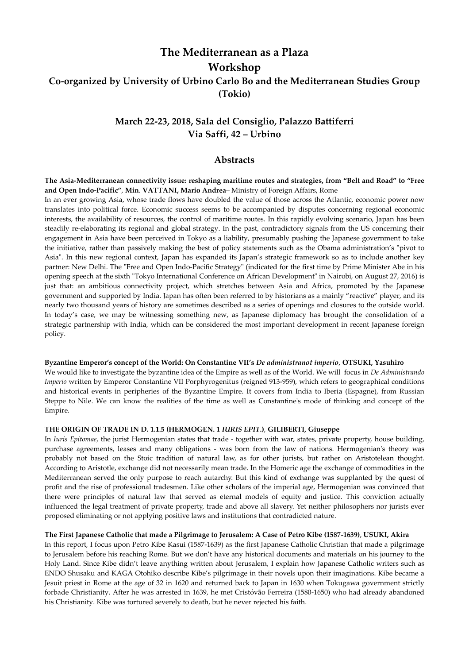# **The Mediterranean as a Plaza Workshop Co-organized by University of Urbino Carlo Bo and the Mediterranean Studies Group (Tokio)**

## **March 22-23, 2018, Sala del Consiglio, Palazzo Battiferri Via Saffi, 42 – Urbino**

### **Abstracts**

**The Asia-Mediterranean connectivity issue: reshaping maritime routes and strategies, from "Belt and Road" to "Free and Open Indo-Pacific"**, **Min**. **VATTANI, Mario Andrea**– Ministry of Foreign Affairs, Rome

In an ever growing Asia, whose trade flows have doubled the value of those across the Atlantic, economic power now translates into political force. Economic success seems to be accompanied by disputes concerning regional economic interests, the availability of resources, the control of maritime routes. In this rapidly evolving scenario, Japan has been steadily re-elaborating its regional and global strategy. In the past, contradictory signals from the US concerning their engagement in Asia have been perceived in Tokyo as a liability, presumably pushing the Japanese government to take the initiative, rather than passively making the best of policy statements such as the Obama administration's "pivot to Asia". In this new regional context, Japan has expanded its Japan's strategic framework so as to include another key partner: New Delhi. The "Free and Open Indo-Pacific Strategy" (indicated for the first time by Prime Minister Abe in his opening speech at the sixth "Tokyo International Conference on African Development" in Nairobi, on August 27, 2016) is just that: an ambitious connectivity project, which stretches between Asia and Africa, promoted by the Japanese government and supported by India. Japan has often been referred to by historians as a mainly "reactive" player, and its nearly two thousand years of history are sometimes described as a series of openings and closures to the outside world. In today's case, we may be witnessing something new, as Japanese diplomacy has brought the consolidation of a strategic partnership with India, which can be considered the most important development in recent Japanese foreign policy.

#### **Byzantine Emperor's concept of the World: On Constantine VII's** *De administranot imperio*, **OTSUKI, Yasuhiro**

We would like to investigate the byzantine idea of the Empire as well as of the World. We will focus in *De Administrando Imperio* written by Emperor Constantine VII Porphyrogenitus (reigned 913-959), which refers to geographical conditions and historical events in peripheries of the Byzantine Empire. It covers from India to Iberia (Espagne), from Russian Steppe to Nile. We can know the realities of the time as well as Constantine's mode of thinking and concept of the Empire.

#### **THE ORIGIN OF TRADE IN D. 1.1.5 (HERMOGEN. 1** *IURIS EPIT***.)**, **GILIBERTI, Giuseppe**

In *Iuris Epitomae*, the jurist Hermogenian states that trade - together with war, states, private property, house building, purchase agreements, leases and many obligations - was born from the law of nations. Hermogenian's theory was probably not based on the Stoic tradition of natural law, as for other jurists, but rather on Aristotelean thought. According to Aristotle, exchange did not necessarily mean trade. In the Homeric age the exchange of commodities in the Mediterranean served the only purpose to reach autarchy. But this kind of exchange was supplanted by the quest of profit and the rise of professional tradesmen. Like other scholars of the imperial age, Hermogenian was convinced that there were principles of natural law that served as eternal models of equity and justice. This conviction actually influenced the legal treatment of private property, trade and above all slavery. Yet neither philosophers nor jurists ever proposed eliminating or not applying positive laws and institutions that contradicted nature.

#### **The First Japanese Catholic that made a Pilgrimage to Jerusalem: A Case of Petro Kibe (1587-1639)**, **USUKI, Akira**

In this report, I focus upon Petro Kibe Kasui (1587-1639) as the first Japanese Catholic Christian that made a pilgrimage to Jerusalem before his reaching Rome. But we don't have any historical documents and materials on his journey to the Holy Land. Since Kibe didn't leave anything written about Jerusalem, I explain how Japanese Catholic writers such as ENDO Shusaku and KAGA Otohiko describe Kibe's pilgrimage in their novels upon their imaginations. Kibe became a Jesuit priest in Rome at the age of 32 in 1620 and returned back to Japan in 1630 when Tokugawa government strictly forbade Christianity. After he was arrested in 1639, he met Cristóvão Ferreira (1580-1650) who had already abandoned his Christianity. Kibe was tortured severely to death, but he never rejected his faith.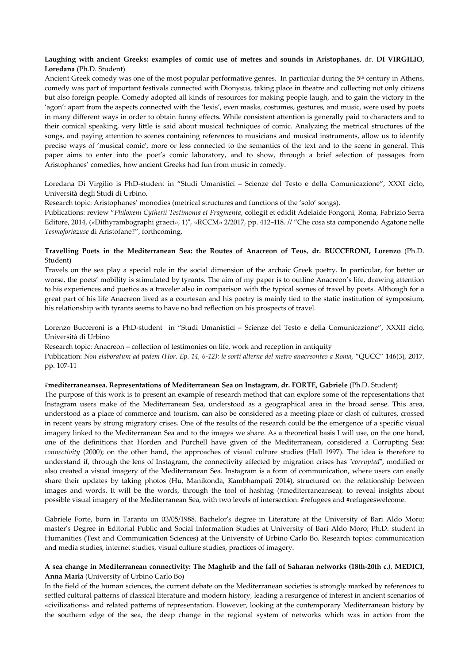#### **Laughing with ancient Greeks: examples of comic use of metres and sounds in Aristophanes**, dr. **DI VIRGILIO, Loredana** (Ph.D. Student)

Ancient Greek comedy was one of the most popular performative genres. In particular during the 5<sup>th</sup> century in Athens, comedy was part of important festivals connected with Dionysus, taking place in theatre and collecting not only citizens but also foreign people. Comedy adopted all kinds of resources for making people laugh, and to gain the victory in the 'agon': apart from the aspects connected with the 'lexis', even masks, costumes, gestures, and music, were used by poets in many different ways in order to obtain funny effects. While consistent attention is generally paid to characters and to their comical speaking, very little is said about musical techniques of comic. Analyzing the metrical structures of the songs, and paying attention to scenes containing references to musicians and musical instruments, allow us to identify precise ways of 'musical comic', more or less connected to the semantics of the text and to the scene in general. This paper aims to enter into the poet's comic laboratory, and to show, through a brief selection of passages from Aristophanes' comedies, how ancient Greeks had fun from music in comedy.

Loredana Di Virgilio is PhD-student in "Studi Umanistici – Scienze del Testo e della Comunicazione", XXXI ciclo, Università degli Studi di Urbino.

Research topic: Aristophanes' monodies (metrical structures and functions of the 'solo' songs).

Publications: review "*Philoxeni Cytherii Testimonia et Fragmenta*, collegit et edidit Adelaide Fongoni, Roma, Fabrizio Serra Editore, 2014, («Dithyrambographi graeci», 1)", «RCCM» 2/2017, pp. 412-418. // "Che cosa sta componendo Agatone nelle *Tesmoforiazuse* di Aristofane?", forthcoming.

#### **Travelling Poets in the Mediterranean Sea: the Routes of Anacreon of Teos**, **dr. BUCCERONI, Lorenzo** (Ph.D. Student)

Travels on the sea play a special role in the social dimension of the archaic Greek poetry. In particular, for better or worse, the poets' mobility is stimulated by tyrants. The aim of my paper is to outline Anacreon's life, drawing attention to his experiences and poetics as a traveler also in comparison with the typical scenes of travel by poets. Although for a great part of his life Anacreon lived as a courtesan and his poetry is mainly tied to the static institution of symposium, his relationship with tyrants seems to have no bad reflection on his prospects of travel.

Lorenzo Bucceroni is a PhD-student in "Studi Umanistici – Scienze del Testo e della Comunicazione", XXXII ciclo, Università di Urbino

Research topic: Anacreon – collection of testimonies on life, work and reception in antiquity

Publication: Non elaboratum ad pedem (Hor. Ep. 14, 6-12): le sorti alterne del metro anacreonteo a Roma, "QUCC" 146(3), 2017, pp. 107-11

#### **#mediterraneansea. Representations of Mediterranean Sea on Instagram**, **dr. FORTE, Gabriele** (Ph.D. Student)

The purpose of this work is to present an example of research method that can explore some of the representations that Instagram users make of the Mediterranean Sea, understood as a geographical area in the broad sense. This area, understood as a place of commerce and tourism, can also be considered as a meeting place or clash of cultures, crossed in recent years by strong migratory crises. One of the results of the research could be the emergence of a specific visual imagery linked to the Mediterranean Sea and to the images we share. As a theoretical basis I will use, on the one hand, one of the definitions that Horden and Purchell have given of the Mediterranean, considered a Corrupting Sea: *connectivity* (2000); on the other hand, the approaches of visual culture studies (Hall 1997). The idea is therefore to understand if, through the lens of Instagram, the connectivity affected by migration crises has "*corrupted*", modified or also created a visual imagery of the Mediterranean Sea. Instagram is a form of communication, where users can easily share their updates by taking photos (Hu, Manikonda, Kambhampati 2014), structured on the relationship between images and words. It will be the words, through the tool of hashtag (#mediterraneansea), to reveal insights about possible visual imagery of the Mediterranean Sea, with two levels of intersection: #refugees and #refugeeswelcome.

Gabriele Forte, born in Taranto on 03/05/1988. Bachelor's degree in Literature at the University of Bari Aldo Moro; master's Degree in Editorial Public and Social Information Studies at University of Bari Aldo Moro; Ph.D. student in Humanities (Text and Communication Sciences) at the University of Urbino Carlo Bo. Research topics: communication and media studies, internet studies, visual culture studies, practices of imagery.

#### A sea change in Mediterranean connectivity: The Maghrib and the fall of Saharan networks (18th-20th c.), MEDICI, **Anna Maria** (University of Urbino Carlo Bo)

In the field of the human sciences, the current debate on the Mediterranean societies is strongly marked by references to settled cultural patterns of classical literature and modern history, leading a resurgence of interest in ancient scenarios of «civilizations» and related patterns of representation. However, looking at the contemporary Mediterranean history by the southern edge of the sea, the deep change in the regional system of networks which was in action from the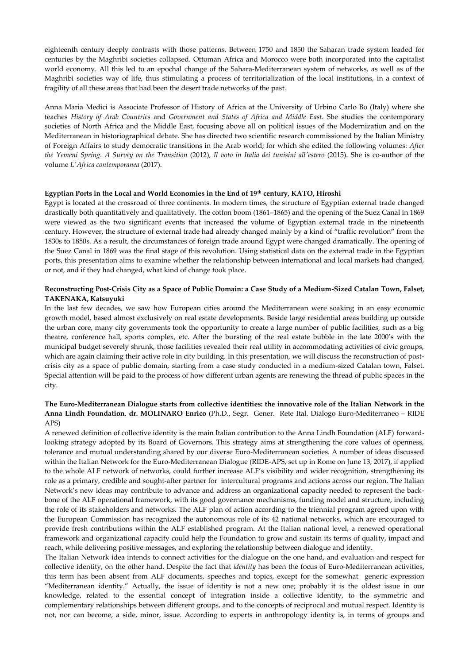eighteenth century deeply contrasts with those patterns. Between 1750 and 1850 the Saharan trade system leaded for centuries by the Maghribi societies collapsed. Ottoman Africa and Morocco were both incorporated into the capitalist world economy. All this led to an epochal change of the Sahara-Mediterranean system of networks, as well as of the Maghribi societies way of life, thus stimulating a process of territorialization of the local institutions, in a context of fragility of all these areas that had been the desert trade networks of the past.

Anna Maria Medici is Associate Professor of History of Africa at the University of Urbino Carlo Bo (Italy) where she teaches *History of Arab Countries* and *Government and States of Africa and Middle East*. She studies the contemporary societies of North Africa and the Middle East, focusing above all on political issues of the Modernization and on the Mediterranean in historiographical debate. She has directed two scientific research commissioned by the Italian Ministry of Foreign Affairs to study democratic transitions in the Arab world; for which she edited the following volumes: *After* the Yemeni Spring. A Survey on the Transition (2012), Il voto in Italia dei tunisini all'estero (2015). She is co-author of the volume *L'Africa contemporanea* (2017).

#### **Egyptian Ports in the Local and World Economies in the End of 19th century, KATO, Hiroshi**

Egypt is located at the crossroad of three continents. In modern times, the structure of Egyptian external trade changed drastically both quantitatively and qualitatively. The cotton boom (1861–1865) and the opening of the Suez Canal in 1869 were viewed as the two significant events that increased the volume of Egyptian external trade in the nineteenth century. However, the structure of external trade had already changed mainly by a kind of "traffic revolution" from the 1830s to 1850s. As a result, the circumstances of foreign trade around Egypt were changed dramatically. The opening of the Suez Canal in 1869 was the final stage of this revolution. Using statistical data on the external trade in the Egyptian ports, this presentation aims to examine whether the relationship between international and local markets had changed, or not, and if they had changed, what kind of change took place.

#### **Reconstructing Post-Crisis City as a Space of Public Domain: a Case Study of a Medium-Sized Catalan Town, Falset, TAKENAKA, Katsuyuki**

In the last few decades, we saw how European cities around the Mediterranean were soaking in an easy economic growth model, based almost exclusively on real estate developments. Beside large residential areas building up outside the urban core, many city governments took the opportunity to create a large number of public facilities, such as a big theatre, conference hall, sports complex, etc. After the bursting of the real estate bubble in the late 2000's with the municipal budget severely shrunk, those facilities revealed their real utility in accommodating activities of civic groups, which are again claiming their active role in city building. In this presentation, we will discuss the reconstruction of postcrisis city as a space of public domain, starting from a case study conducted in a medium-sized Catalan town, Falset. Special attention will be paid to the process of how different urban agents are renewing the thread of public spaces in the city.

#### **The Euro-Mediterranean Dialogue starts from collective identities: the innovative role of the Italian Network in the Anna Lindh Foundation**, **dr. MOLINARO Enrico** (Ph.D., Segr. Gener. Rete Ital. Dialogo Euro-Mediterraneo – RIDE APS)

A renewed definition of collective identity is the main Italian contribution to the Anna Lindh Foundation (ALF) forwardlooking strategy adopted by its Board of Governors. This strategy aims at strengthening the core values of openness, tolerance and mutual understanding shared by our diverse Euro-Mediterranean societies. A number of ideas discussed within the Italian Network for the Euro-Mediterranean Dialogue (RIDE-APS, set up in Rome on June 13, 2017), if applied to the whole ALF network of networks, could further increase ALF's visibility and wider recognition, strengthening its role as a primary, credible and sought-after partner for intercultural programs and actions across our region. The Italian Network's new ideas may contribute to advance and address an organizational capacity needed to represent the backbone of the ALF operational framework, with its good governance mechanisms, funding model and structure, including the role of its stakeholders and networks. The ALF plan of action according to the triennial program agreed upon with the European Commission has recognized the autonomous role of its 42 national networks, which are encouraged to provide fresh contributions within the ALF established program. At the Italian national level, a renewed operational framework and organizational capacity could help the Foundation to grow and sustain its terms of quality, impact and reach, while delivering positive messages, and exploring the relationship between dialogue and identity.

The Italian Network idea intends to connect activities for the dialogue on the one hand, and evaluation and respect for collective identity, on the other hand. Despite the fact that *identity* has been the focus of Euro-Mediterranean activities, this term has been absent from ALF documents, speeches and topics, except for the somewhat generic expression "Mediterranean identity." Actually, the issue of identity is not a new one; probably it is the oldest issue in our knowledge, related to the essential concept of integration inside a collective identity, to the symmetric and complementary relationships between different groups, and to the concepts of reciprocal and mutual respect. Identity is not, nor can become, a side, minor, issue. According to experts in anthropology identity is, in terms of groups and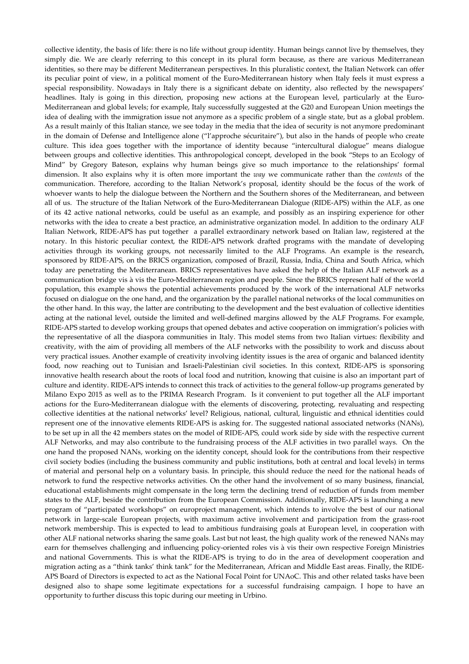collective identity, the basis of life: there is no life without group identity. Human beings cannot live by themselves, they simply die. We are clearly referring to this concept in its plural form because, as there are various Mediterranean identities, so there may be different Mediterranean perspectives. In this pluralistic context, the Italian Network can offer its peculiar point of view, in a political moment of the Euro-Mediterranean history when Italy feels it must express a special responsibility. Nowadays in Italy there is a significant debate on identity, also reflected by the newspapers' headlines. Italy is going in this direction, proposing new actions at the European level, particularly at the Euro-Mediterranean and global levels; for example, Italy successfully suggested at the G20 and European Union meetings the idea of dealing with the immigration issue not anymore as a specific problem of a single state, but as a global problem. As a result mainly of this Italian stance, we see today in the media that the idea of security is not anymore predominant in the domain of Defense and Intelligence alone ("l'approche sécuritaire"), but also in the hands of people who create culture. This idea goes together with the importance of identity because "intercultural dialogue" means dialogue between groups and collective identities. This anthropological concept, developed in the book "Steps to an Ecology of Mind" by Gregory Bateson, explains why human beings give so much importance to the relationships' formal dimension. It also explains why it is often more important the *way* we communicate rather than the *contents* of the communication. Therefore, according to the Italian Network's proposal, identity should be the focus of the work of whoever wants to help the dialogue between the Northern and the Southern shores of the Mediterranean, and between all of us. The structure of the Italian Network of the Euro-Mediterranean Dialogue (RIDE-APS) within the ALF, as one of its 42 active national networks, could be useful as an example, and possibly as an inspiring experience for other networks with the idea to create a best practice, an administrative organization model. In addition to the ordinary ALF Italian Network, RIDE-APS has put together a parallel extraordinary network based on Italian law, registered at the notary. In this historic peculiar context, the RIDE-APS network drafted programs with the mandate of developing activities through its working groups, not necessarily limited to the ALF Programs. An example is the research, sponsored by RIDE-APS, on the BRICS organization, composed of Brazil, Russia, India, China and South Africa, which today are penetrating the Mediterranean. BRICS representatives have asked the help of the Italian ALF network as a communication bridge vis à vis the Euro-Mediterranean region and people. Since the BRICS represent half of the world population, this example shows the potential achievements produced by the work of the international ALF networks focused on dialogue on the one hand, and the organization by the parallel national networks of the local communities on the other hand. In this way, the latter are contributing to the development and the best evaluation of collective identities acting at the national level, outside the limited and well-defined margins allowed by the ALF Programs. For example, RIDE-APS started to develop working groups that opened debates and active cooperation on immigration's policies with the representative of all the diaspora communities in Italy. This model stems from two Italian virtues: flexibility and creativity, with the aim of providing all members of the ALF networks with the possibility to work and discuss about very practical issues. Another example of creativity involving identity issues is the area of organic and balanced identity food, now reaching out to Tunisian and Israeli-Palestinian civil societies. In this context, RIDE-APS is sponsoring innovative health research about the roots of local food and nutrition, knowing that cuisine is also an important part of culture and identity. RIDE-APS intends to connect this track of activities to the general follow-up programs generated by Milano Expo 2015 as well as to the PRIMA Research Program. Is it convenient to put together all the ALF important actions for the Euro-Mediterranean dialogue with the elements of discovering, protecting, revaluating and respecting collective identities at the national networks' level? Religious, national, cultural, linguistic and ethnical identities could represent one of the innovative elements RIDE-APS is asking for. The suggested national associated networks (NANs), to be set up in all the 42 members states on the model of RIDE-APS, could work side by side with the respective current ALF Networks, and may also contribute to the fundraising process of the ALF activities in two parallel ways. On the one hand the proposed NANs, working on the identity concept, should look for the contributions from their respective civil society bodies (including the business community and public institutions, both at central and local levels) in terms of material and personal help on a voluntary basis. In principle, this should reduce the need for the national heads of network to fund the respective networks activities. On the other hand the involvement of so many business, financial, educational establishments might compensate in the long term the declining trend of reduction of funds from member states to the ALF, beside the contribution from the European Commission. Additionally, RIDE-APS is launching a new program of "participated workshops" on europroject management, which intends to involve the best of our national network in large-scale European projects, with maximum active involvement and participation from the grass-root network membership. This is expected to lead to ambitious fundraising goals at European level, in cooperation with other ALF national networks sharing the same goals. Last but not least, the high quality work of the renewed NANs may earn for themselves challenging and influencing policy-oriented roles vis à vis their own respective Foreign Ministries and national Governments. This is what the RIDE-APS is trying to do in the area of development cooperation and migration acting as a "think tanks' think tank" for the Mediterranean, African and Middle East areas. Finally, the RIDE-APS Board of Directors is expected to act as the National Focal Point for UNAoC. This and other related tasks have been designed also to shape some legitimate expectations for a successful fundraising campaign. I hope to have an opportunity to further discuss this topic during our meeting in Urbino.